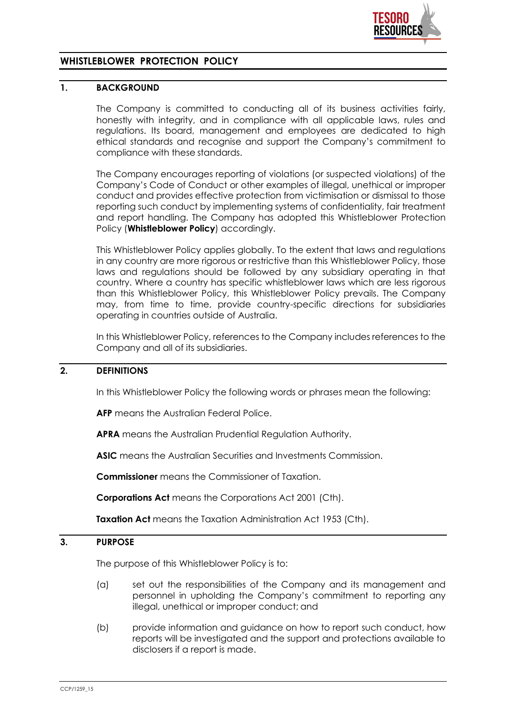

# **WHISTLEBLOWER PROTECTION POLICY**

## **1. BACKGROUND**

The Company is committed to conducting all of its business activities fairly, honestly with integrity, and in compliance with all applicable laws, rules and regulations. Its board, management and employees are dedicated to high ethical standards and recognise and support the Company's commitment to compliance with these standards.

The Company encourages reporting of violations (or suspected violations) of the Company's Code of Conduct or other examples of illegal, unethical or improper conduct and provides effective protection from victimisation or dismissal to those reporting such conduct by implementing systems of confidentiality, fair treatment and report handling. The Company has adopted this Whistleblower Protection Policy (**Whistleblower Policy**) accordingly.

This Whistleblower Policy applies globally. To the extent that laws and regulations in any country are more rigorous or restrictive than this Whistleblower Policy, those laws and regulations should be followed by any subsidiary operating in that country. Where a country has specific whistleblower laws which are less rigorous than this Whistleblower Policy, this Whistleblower Policy prevails. The Company may, from time to time, provide country-specific directions for subsidiaries operating in countries outside of Australia.

In this Whistleblower Policy, references to the Company includes references to the Company and all of its subsidiaries.

## **2. DEFINITIONS**

In this Whistleblower Policy the following words or phrases mean the following:

**AFP** means the Australian Federal Police.

**APRA** means the Australian Prudential Regulation Authority.

**ASIC** means the Australian Securities and Investments Commission.

**Commissioner** means the Commissioner of Taxation.

**Corporations Act** means the Corporations Act 2001 (Cth).

**Taxation Act** means the Taxation Administration Act 1953 (Cth).

#### **3. PURPOSE**

The purpose of this Whistleblower Policy is to:

- (a) set out the responsibilities of the Company and its management and personnel in upholding the Company's commitment to reporting any illegal, unethical or improper conduct; and
- (b) provide information and guidance on how to report such conduct, how reports will be investigated and the support and protections available to disclosers if a report is made.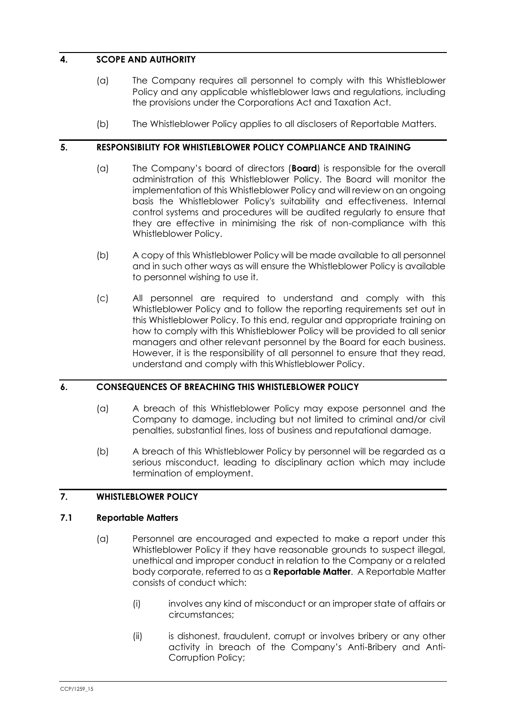# **4. SCOPE AND AUTHORITY**

- (a) The Company requires all personnel to comply with this Whistleblower Policy and any applicable whistleblower laws and regulations, including the provisions under the Corporations Act and Taxation Act.
- (b) The Whistleblower Policy applies to all disclosers of Reportable Matters.

## **5. RESPONSIBILITY FOR WHISTLEBLOWER POLICY COMPLIANCE AND TRAINING**

- (a) The Company's board of directors (**Board**) is responsible for the overall administration of this Whistleblower Policy. The Board will monitor the implementation of this Whistleblower Policy and will review on an ongoing basis the Whistleblower Policy's suitability and effectiveness. Internal control systems and procedures will be audited regularly to ensure that they are effective in minimising the risk of non-compliance with this Whistleblower Policy.
- (b) A copy of this Whistleblower Policy will be made available to all personnel and in such other ways as will ensure the Whistleblower Policy is available to personnel wishing to use it.
- (c) All personnel are required to understand and comply with this Whistleblower Policy and to follow the reporting requirements set out in this Whistleblower Policy. To this end, regular and appropriate training on how to comply with this Whistleblower Policy will be provided to all senior managers and other relevant personnel by the Board for each business. However, it is the responsibility of all personnel to ensure that they read, understand and comply with thisWhistleblower Policy.

# **6. CONSEQUENCES OF BREACHING THIS WHISTLEBLOWER POLICY**

- (a) A breach of this Whistleblower Policy may expose personnel and the Company to damage, including but not limited to criminal and/or civil penalties, substantial fines, loss of business and reputational damage.
- (b) A breach of this Whistleblower Policy by personnel will be regarded as a serious misconduct, leading to disciplinary action which may include termination of employment.

## **7. WHISTLEBLOWER POLICY**

## **7.1 Reportable Matters**

- (a) Personnel are encouraged and expected to make a report under this Whistleblower Policy if they have reasonable grounds to suspect illegal, unethical and improper conduct in relation to the Company or a related body corporate, referred to as a **Reportable Matter**. A Reportable Matter consists of conduct which:
	- (i) involves any kind of misconduct or an improper state of affairs or circumstances;
	- (ii) is dishonest, fraudulent, corrupt or involves bribery or any other activity in breach of the Company's Anti-Bribery and Anti-Corruption Policy;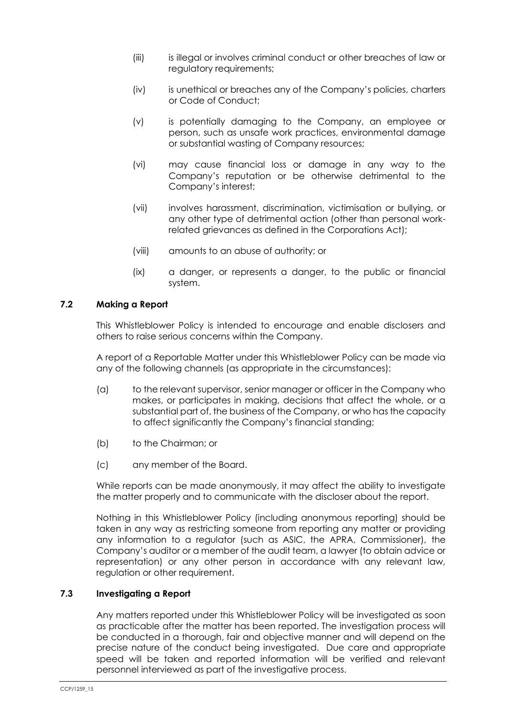- (iii) is illegal or involves criminal conduct or other breaches of law or regulatory requirements;
- (iv) is unethical or breaches any of the Company's policies, charters or Code of Conduct;
- (v) is potentially damaging to the Company, an employee or person, such as unsafe work practices, environmental damage or substantial wasting of Company resources;
- (vi) may cause financial loss or damage in any way to the Company's reputation or be otherwise detrimental to the Company's interest;
- (vii) involves harassment, discrimination, victimisation or bullying, or any other type of detrimental action (other than personal workrelated grievances as defined in the Corporations Act);
- (viii) amounts to an abuse of authority; or
- (ix) a danger, or represents a danger, to the public or financial system.

# <span id="page-2-0"></span>**7.2 Making a Report**

This Whistleblower Policy is intended to encourage and enable disclosers and others to raise serious concerns within the Company.

A report of a Reportable Matter under this Whistleblower Policy can be made via any of the following channels (as appropriate in the circumstances):

- (a) to the relevant supervisor, senior manager or officer in the Company who makes, or participates in making, decisions that affect the whole, or a substantial part of, the business of the Company, or who has the capacity to affect significantly the Company's financial standing;
- (b) to the Chairman; or
- (c) any member of the Board.

While reports can be made anonymously, it may affect the ability to investigate the matter properly and to communicate with the discloser about the report.

Nothing in this Whistleblower Policy (including anonymous reporting) should be taken in any way as restricting someone from reporting any matter or providing any information to a regulator (such as ASIC, the APRA, Commissioner), the Company's auditor or a member of the audit team, a lawyer (to obtain advice or representation) or any other person in accordance with any relevant law, regulation or other requirement.

#### **7.3 Investigating a Report**

Any matters reported under this Whistleblower Policy will be investigated as soon as practicable after the matter has been reported. The investigation process will be conducted in a thorough, fair and objective manner and will depend on the precise nature of the conduct being investigated. Due care and appropriate speed will be taken and reported information will be verified and relevant personnel interviewed as part of the investigative process.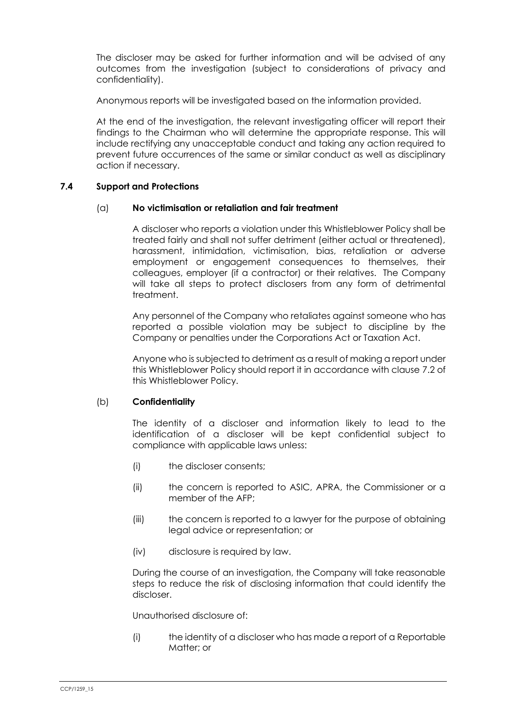The discloser may be asked for further information and will be advised of any outcomes from the investigation (subject to considerations of privacy and confidentiality).

Anonymous reports will be investigated based on the information provided.

At the end of the investigation, the relevant investigating officer will report their findings to the Chairman who will determine the appropriate response. This will include rectifying any unacceptable conduct and taking any action required to prevent future occurrences of the same or similar conduct as well as disciplinary action if necessary.

#### **7.4 Support and Protections**

#### (a) **No victimisation or retaliation and fair treatment**

A discloser who reports a violation under this Whistleblower Policy shall be treated fairly and shall not suffer detriment (either actual or threatened), harassment, intimidation, victimisation, bias, retaliation or adverse employment or engagement consequences to themselves, their colleagues, employer (if a contractor) or their relatives. The Company will take all steps to protect disclosers from any form of detrimental treatment.

Any personnel of the Company who retaliates against someone who has reported a possible violation may be subject to discipline by the Company or penalties under the Corporations Act or Taxation Act.

Anyone who is subjected to detriment as a result of making a report under this Whistleblower Policy should report it in accordance with clause [7.2](#page-2-0) of this Whistleblower Policy.

## (b) **Confidentiality**

The identity of a discloser and information likely to lead to the identification of a discloser will be kept confidential subject to compliance with applicable laws unless:

- (i) the discloser consents;
- (ii) the concern is reported to ASIC, APRA, the Commissioner or a member of the AFP;
- (iii) the concern is reported to a lawyer for the purpose of obtaining legal advice or representation; or
- (iv) disclosure is required by law.

During the course of an investigation, the Company will take reasonable steps to reduce the risk of disclosing information that could identify the discloser.

Unauthorised disclosure of:

(i) the identity of a discloser who has made a report of a Reportable Matter; or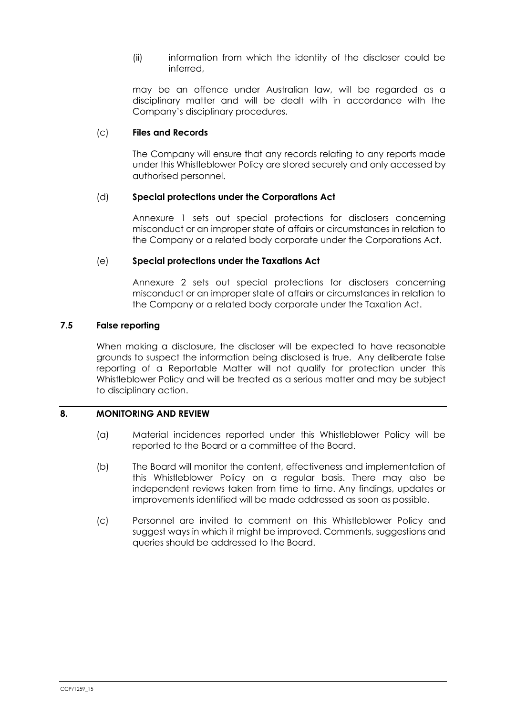(ii) information from which the identity of the discloser could be inferred,

may be an offence under Australian law, will be regarded as a disciplinary matter and will be dealt with in accordance with the Company's disciplinary procedures.

## (c) **Files and Records**

The Company will ensure that any records relating to any reports made under this Whistleblower Policy are stored securely and only accessed by authorised personnel.

## (d) **Special protections under the Corporations Act**

Annexure 1 sets out special protections for disclosers concerning misconduct or an improper state of affairs or circumstances in relation to the Company or a related body corporate under the Corporations Act.

#### (e) **Special protections under the Taxations Act**

Annexure 2 sets out special protections for disclosers concerning misconduct or an improper state of affairs or circumstances in relation to the Company or a related body corporate under the Taxation Act.

#### **7.5 False reporting**

When making a disclosure, the discloser will be expected to have reasonable grounds to suspect the information being disclosed is true. Any deliberate false reporting of a Reportable Matter will not qualify for protection under this Whistleblower Policy and will be treated as a serious matter and may be subject to disciplinary action.

#### **8. MONITORING AND REVIEW**

- (a) Material incidences reported under this Whistleblower Policy will be reported to the Board or a committee of the Board.
- (b) The Board will monitor the content, effectiveness and implementation of this Whistleblower Policy on a regular basis. There may also be independent reviews taken from time to time. Any findings, updates or improvements identified will be made addressed as soon as possible.
- (c) Personnel are invited to comment on this Whistleblower Policy and suggest ways in which it might be improved. Comments, suggestions and queries should be addressed to the Board.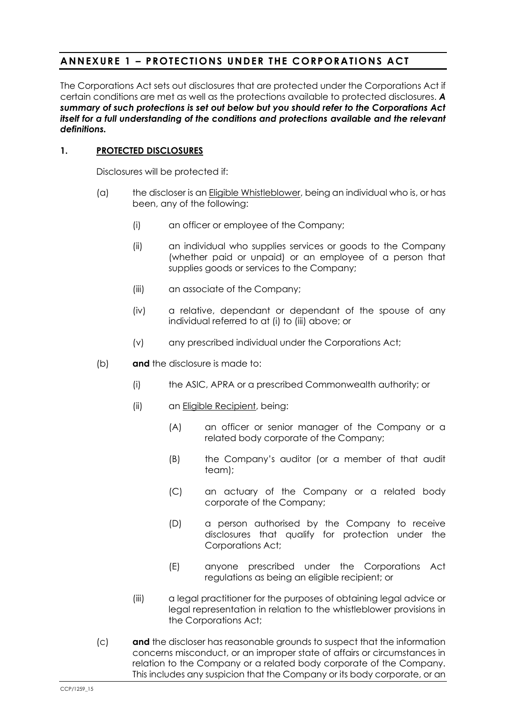# **ANNEXURE 1 – PROTECTIONS UNDER THE CORPORATIONS ACT**

The Corporations Act sets out disclosures that are protected under the Corporations Act if certain conditions are met as well as the protections available to protected disclosures. *A summary of such protections is set out below but you should refer to the Corporations Act itself for a full understanding of the conditions and protections available and the relevant definitions.*

## **1. PROTECTED DISCLOSURES**

Disclosures will be protected if:

- (a) the discloser is an Eligible Whistleblower, being an individual who is, or has been, any of the following:
	- (i) an officer or employee of the Company;
	- (ii) an individual who supplies services or goods to the Company (whether paid or unpaid) or an employee of a person that supplies goods or services to the Company;
	- (iii) an associate of the Company;
	- (iv) a relative, dependant or dependant of the spouse of any individual referred to at (i) to (iii) above; or
	- (v) any prescribed individual under the Corporations Act;
- (b) **and** the disclosure is made to:
	- (i) the ASIC, APRA or a prescribed Commonwealth authority; or
	- (ii) an Eligible Recipient, being:
		- (A) an officer or senior manager of the Company or a related body corporate of the Company;
		- (B) the Company's auditor (or a member of that audit team);
		- (C) an actuary of the Company or a related body corporate of the Company;
		- (D) a person authorised by the Company to receive disclosures that qualify for protection under the Corporations Act;
		- (E) anyone prescribed under the Corporations Act regulations as being an eligible recipient; or
	- (iii) a legal practitioner for the purposes of obtaining legal advice or legal representation in relation to the whistleblower provisions in the Corporations Act;
- (c) **and** the discloser has reasonable grounds to suspect that the information concerns misconduct, or an improper state of affairs or circumstances in relation to the Company or a related body corporate of the Company. This includes any suspicion that the Company or its body corporate, or an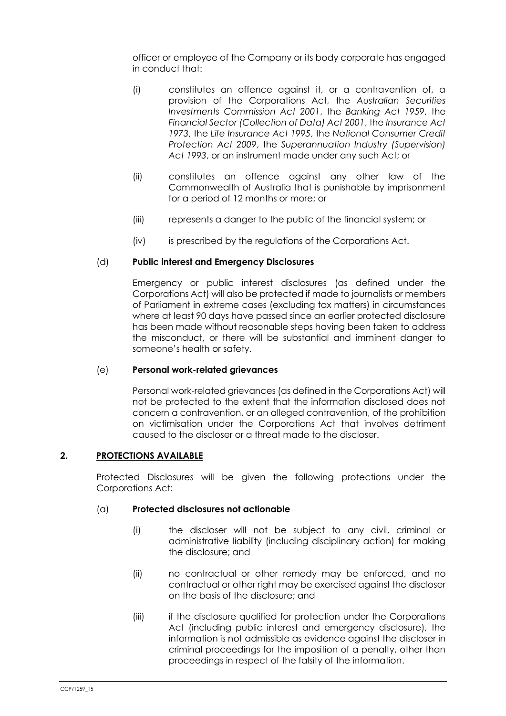officer or employee of the Company or its body corporate has engaged in conduct that:

- (i) constitutes an offence against it, or a contravention of, a provision of the Corporations Act, the *Australian Securities Investments Commission Act 2001*, the *Banking Act 1959*, the *Financial Sector (Collection of Data) Act 2001*, the *Insurance Act 1973*, the *Life Insurance Act 1995*, the *National Consumer Credit Protection Act 2009*, the *Superannuation Industry (Supervision) Act 1993*, or an instrument made under any such Act; or
- (ii) constitutes an offence against any other law of the Commonwealth of Australia that is punishable by imprisonment for a period of 12 months or more; or
- (iii) represents a danger to the public of the financial system; or
- (iv) is prescribed by the regulations of the Corporations Act.

# (d) **Public interest and Emergency Disclosures**

Emergency or public interest disclosures (as defined under the Corporations Act) will also be protected if made to journalists or members of Parliament in extreme cases (excluding tax matters) in circumstances where at least 90 days have passed since an earlier protected disclosure has been made without reasonable steps having been taken to address the misconduct, or there will be substantial and imminent danger to someone's health or safety.

## (e) **Personal work-related grievances**

Personal work-related grievances (as defined in the Corporations Act) will not be protected to the extent that the information disclosed does not concern a contravention, or an alleged contravention, of the prohibition on victimisation under the Corporations Act that involves detriment caused to the discloser or a threat made to the discloser.

## **2. PROTECTIONS AVAILABLE**

Protected Disclosures will be given the following protections under the Corporations Act:

## (a) **Protected disclosures not actionable**

- (i) the discloser will not be subject to any civil, criminal or administrative liability (including disciplinary action) for making the disclosure; and
- (ii) no contractual or other remedy may be enforced, and no contractual or other right may be exercised against the discloser on the basis of the disclosure; and
- (iii) if the disclosure qualified for protection under the Corporations Act (including public interest and emergency disclosure), the information is not admissible as evidence against the discloser in criminal proceedings for the imposition of a penalty, other than proceedings in respect of the falsity of the information.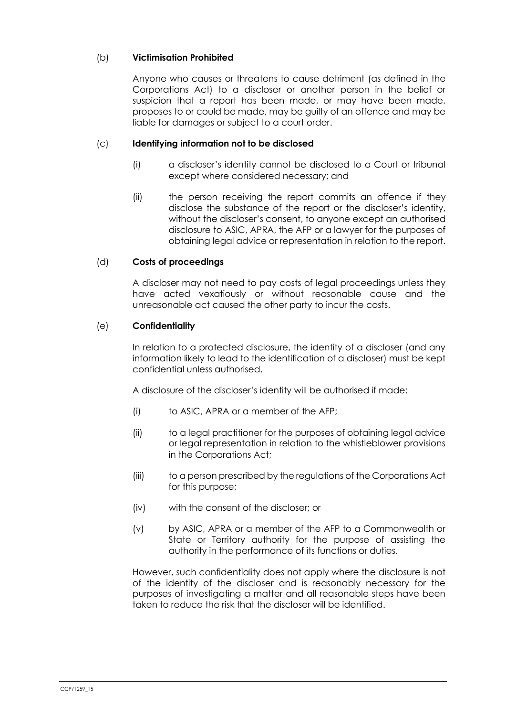# (b) **Victimisation Prohibited**

Anyone who causes or threatens to cause detriment (as defined in the Corporations Act) to a discloser or another person in the belief or suspicion that a report has been made, or may have been made, proposes to or could be made, may be guilty of an offence and may be liable for damages or subject to a court order.

## (c) **Identifying information not to be disclosed**

- (i) a discloser's identity cannot be disclosed to a Court or tribunal except where considered necessary; and
- (ii) the person receiving the report commits an offence if they disclose the substance of the report or the discloser's identity, without the discloser's consent, to anyone except an authorised disclosure to ASIC, APRA, the AFP or a lawyer for the purposes of obtaining legal advice or representation in relation to the report.

#### (d) **Costs of proceedings**

A discloser may not need to pay costs of legal proceedings unless they have acted vexatiously or without reasonable cause and the unreasonable act caused the other party to incur the costs.

#### (e) **Confidentiality**

In relation to a protected disclosure, the identity of a discloser (and any information likely to lead to the identification of a discloser) must be kept confidential unless authorised.

A disclosure of the discloser's identity will be authorised if made:

- (i) to ASIC, APRA or a member of the AFP;
- (ii) to a legal practitioner for the purposes of obtaining legal advice or legal representation in relation to the whistleblower provisions in the Corporations Act;
- (iii) to a person prescribed by the regulations of the Corporations Act for this purpose;
- (iv) with the consent of the discloser; or
- (v) by ASIC, APRA or a member of the AFP to a Commonwealth or State or Territory authority for the purpose of assisting the authority in the performance of its functions or duties.

However, such confidentiality does not apply where the disclosure is not of the identity of the discloser and is reasonably necessary for the purposes of investigating a matter and all reasonable steps have been taken to reduce the risk that the discloser will be identified.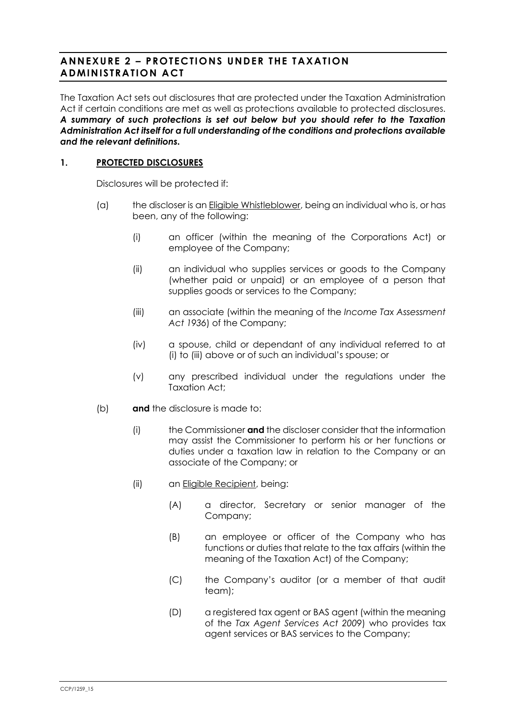# **ANNEXURE 2 – PROTECTIONS UNDER THE TAXATION ADMINISTRATION ACT**

The Taxation Act sets out disclosures that are protected under the Taxation Administration Act if certain conditions are met as well as protections available to protected disclosures. *A summary of such protections is set out below but you should refer to the Taxation Administration Act itself for a full understanding of the conditions and protections available and the relevant definitions.*

# **1. PROTECTED DISCLOSURES**

Disclosures will be protected if:

- <span id="page-8-0"></span>(a) the discloser is an Eligible Whistleblower, being an individual who is, or has been, any of the following:
	- (i) an officer (within the meaning of the Corporations Act) or employee of the Company;
	- (ii) an individual who supplies services or goods to the Company (whether paid or unpaid) or an employee of a person that supplies goods or services to the Company;
	- (iii) an associate (within the meaning of the *Income Tax Assessment Act 1936*) of the Company;
	- (iv) a spouse, child or dependant of any individual referred to at [\(i\)](#page-8-0) to [\(iii\)](#page-8-1) above or of such an individual's spouse; or
	- (v) any prescribed individual under the regulations under the Taxation Act;
- <span id="page-8-1"></span>(b) **and** the disclosure is made to:
	- (i) the Commissioner **and** the discloser consider that the information may assist the Commissioner to perform his or her functions or duties under a taxation law in relation to the Company or an associate of the Company; or
	- (ii) an Eligible Recipient, being:
		- (A) a director, Secretary or senior manager of the Company;
		- (B) an employee or officer of the Company who has functions or duties that relate to the tax affairs (within the meaning of the Taxation Act) of the Company;
		- (C) the Company's auditor (or a member of that audit team);
		- (D) a registered tax agent or BAS agent (within the meaning of the *Tax Agent Services Act 2009*) who provides tax agent services or BAS services to the Company;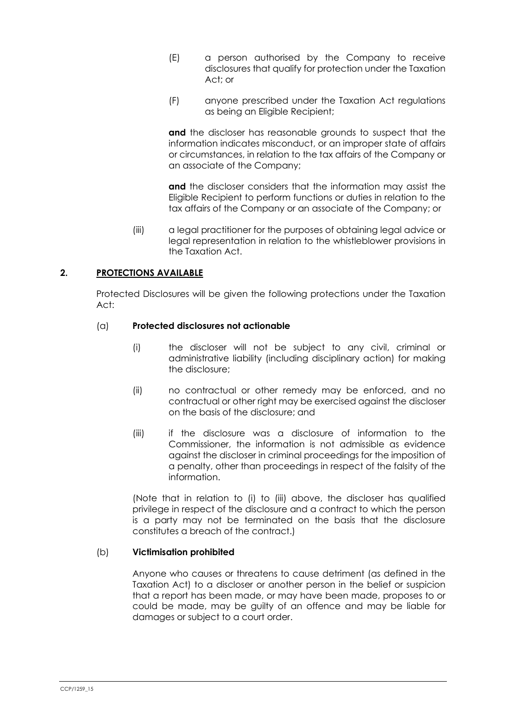- (E) a person authorised by the Company to receive disclosures that qualify for protection under the Taxation Act; or
- (F) anyone prescribed under the Taxation Act regulations as being an Eligible Recipient;

**and** the discloser has reasonable grounds to suspect that the information indicates misconduct, or an improper state of affairs or circumstances, in relation to the tax affairs of the Company or an associate of the Company;

**and** the discloser considers that the information may assist the Eligible Recipient to perform functions or duties in relation to the tax affairs of the Company or an associate of the Company; or

(iii) a legal practitioner for the purposes of obtaining legal advice or legal representation in relation to the whistleblower provisions in the Taxation Act.

## **2. PROTECTIONS AVAILABLE**

Protected Disclosures will be given the following protections under the Taxation Act:

## <span id="page-9-0"></span>(a) **Protected disclosures not actionable**

- (i) the discloser will not be subject to any civil, criminal or administrative liability (including disciplinary action) for making the disclosure;
- (ii) no contractual or other remedy may be enforced, and no contractual or other right may be exercised against the discloser on the basis of the disclosure; and
- <span id="page-9-1"></span>(iii) if the disclosure was a disclosure of information to the Commissioner, the information is not admissible as evidence against the discloser in criminal proceedings for the imposition of a penalty, other than proceedings in respect of the falsity of the information.

(Note that in relation to [\(i\)](#page-9-0) to [\(iii\)](#page-9-1) above, the discloser has qualified privilege in respect of the disclosure and a contract to which the person is a party may not be terminated on the basis that the disclosure constitutes a breach of the contract.)

## (b) **Victimisation prohibited**

Anyone who causes or threatens to cause detriment (as defined in the Taxation Act) to a discloser or another person in the belief or suspicion that a report has been made, or may have been made, proposes to or could be made, may be guilty of an offence and may be liable for damages or subject to a court order.